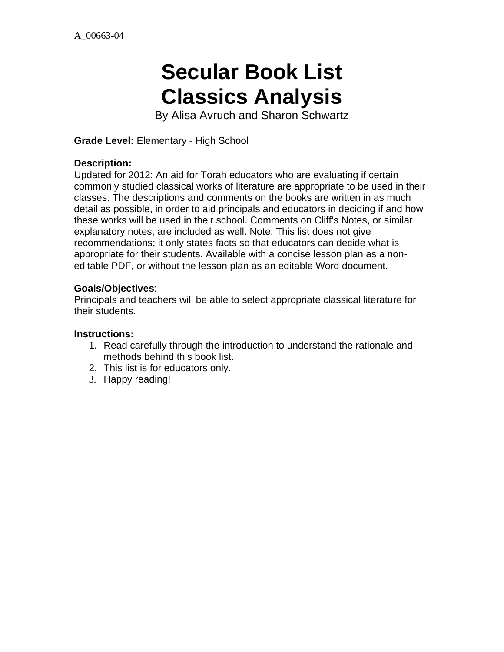# **Secular Book List Classics Analysis**

By Alisa Avruch and Sharon Schwartz

**Grade Level:** Elementary - High School

#### **Description:**

Updated for 2012: An aid for Torah educators who are evaluating if certain commonly studied classical works of literature are appropriate to be used in their classes. The descriptions and comments on the books are written in as much detail as possible, in order to aid principals and educators in deciding if and how these works will be used in their school. Comments on Cliff's Notes, or similar explanatory notes, are included as well. Note: This list does not give recommendations; it only states facts so that educators can decide what is appropriate for their students. Available with a concise lesson plan as a noneditable PDF, or without the lesson plan as an editable Word document.

#### **Goals/Objectives**:

Principals and teachers will be able to select appropriate classical literature for their students.

#### **Instructions:**

- 1. Read carefully through the introduction to understand the rationale and methods behind this book list.
- 2. This list is for educators only.
- 3. Happy reading!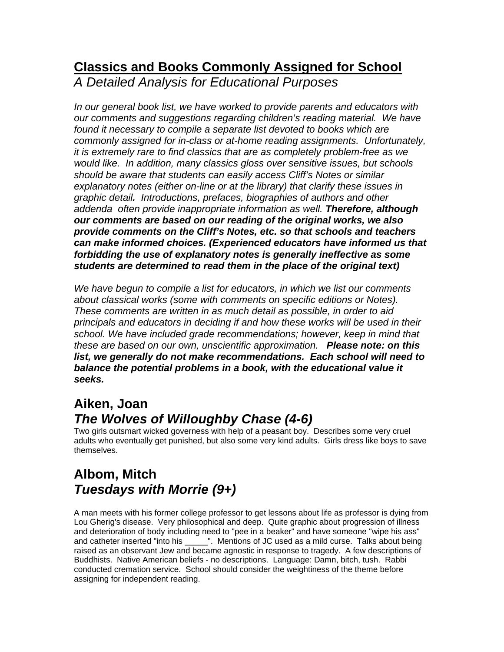#### **Classics and Books Commonly Assigned for School** *A Detailed Analysis for Educational Purposes*

*In our general book list, we have worked to provide parents and educators with our comments and suggestions regarding children's reading material. We have found it necessary to compile a separate list devoted to books which are commonly assigned for in-class or at-home reading assignments. Unfortunately, it is extremely rare to find classics that are as completely problem-free as we would like. In addition, many classics gloss over sensitive issues, but schools should be aware that students can easily access Cliff's Notes or similar explanatory notes (either on-line or at the library) that clarify these issues in graphic detail. Introductions, prefaces, biographies of authors and other addenda often provide inappropriate information as well. Therefore, although our comments are based on our reading of the original works, we also provide comments on the Cliff's Notes, etc. so that schools and teachers can make informed choices. (Experienced educators have informed us that forbidding the use of explanatory notes is generally ineffective as some students are determined to read them in the place of the original text)*

*We have begun to compile a list for educators, in which we list our comments about classical works (some with comments on specific editions or Notes). These comments are written in as much detail as possible, in order to aid principals and educators in deciding if and how these works will be used in their school. We have included grade recommendations; however, keep in mind that these are based on our own, unscientific approximation. Please note: on this list, we generally do not make recommendations. Each school will need to balance the potential problems in a book, with the educational value it seeks.*

#### **Aiken, Joan** *The Wolves of Willoughby Chase (4-6)*

Two girls outsmart wicked governess with help of a peasant boy. Describes some very cruel adults who eventually get punished, but also some very kind adults. Girls dress like boys to save themselves.

# **Albom, Mitch** *Tuesdays with Morrie (9+)*

A man meets with his former college professor to get lessons about life as professor is dying from Lou Gherig's disease. Very philosophical and deep. Quite graphic about progression of illness and deterioration of body including need to "pee in a beaker" and have someone "wipe his ass" and catheter inserted "into his \_\_\_\_\_". Mentions of JC used as a mild curse. Talks about being raised as an observant Jew and became agnostic in response to tragedy. A few descriptions of Buddhists. Native American beliefs - no descriptions. Language: Damn, bitch, tush. Rabbi conducted cremation service. School should consider the weightiness of the theme before assigning for independent reading.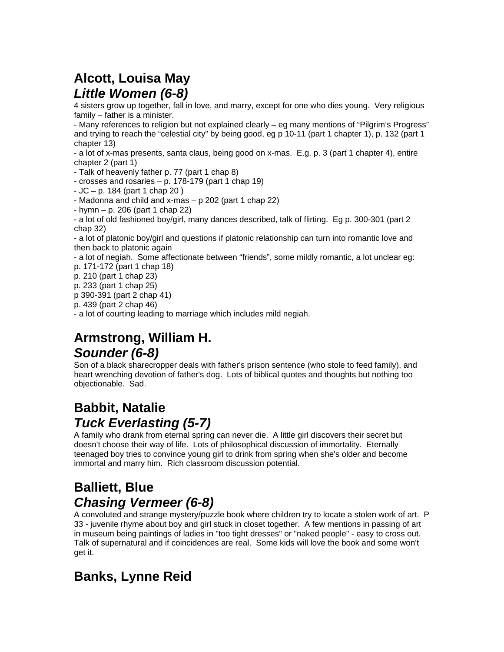# **Alcott, Louisa May** *Little Women (6-8)*

4 sisters grow up together, fall in love, and marry, except for one who dies young. Very religious family – father is a minister.

- Many references to religion but not explained clearly – eg many mentions of "Pilgrim's Progress" and trying to reach the "celestial city" by being good, eg p 10-11 (part 1 chapter 1), p. 132 (part 1 chapter 13)

- a lot of x-mas presents, santa claus, being good on x-mas. E.g. p. 3 (part 1 chapter 4), entire chapter 2 (part 1)

- Talk of heavenly father p. 77 (part 1 chap 8)

- crosses and rosaries  $- p$ . 178-179 (part 1 chap 19)

 $-$  JC  $-$  p. 184 (part 1 chap 20)

- Madonna and child and x-mas  $- p 202$  (part 1 chap 22)

 $-$  hymn  $-$  p. 206 (part 1 chap 22)

- a lot of old fashioned boy/girl, many dances described, talk of flirting. Eg p. 300-301 (part 2 chap 32)

- a lot of platonic boy/girl and questions if platonic relationship can turn into romantic love and then back to platonic again

- a lot of negiah. Some affectionate between "friends", some mildly romantic, a lot unclear eg: p. 171-172 (part 1 chap 18)

p. 210 (part 1 chap 23)

p. 233 (part 1 chap 25)

p 390-391 (part 2 chap 41)

p. 439 (part 2 chap 46)

- a lot of courting leading to marriage which includes mild negiah.

# **Armstrong, William H.** *Sounder (6-8)*

Son of a black sharecropper deals with father's prison sentence (who stole to feed family), and heart wrenching devotion of father's dog. Lots of biblical quotes and thoughts but nothing too objectionable. Sad.

#### **Babbit, Natalie** *Tuck Everlasting (5-7)*

A family who drank from eternal spring can never die. A little girl discovers their secret but doesn't choose their way of life. Lots of philosophical discussion of immortality. Eternally teenaged boy tries to convince young girl to drink from spring when she's older and become immortal and marry him. Rich classroom discussion potential.

#### **Balliett, Blue** *Chasing Vermeer (6-8)*

A convoluted and strange mystery/puzzle book where children try to locate a stolen work of art. P 33 - juvenile rhyme about boy and girl stuck in closet together. A few mentions in passing of art in museum being paintings of ladies in "too tight dresses" or "naked people" - easy to cross out. Talk of supernatural and if coincidences are real. Some kids will love the book and some won't get it.

# **Banks, Lynne Reid**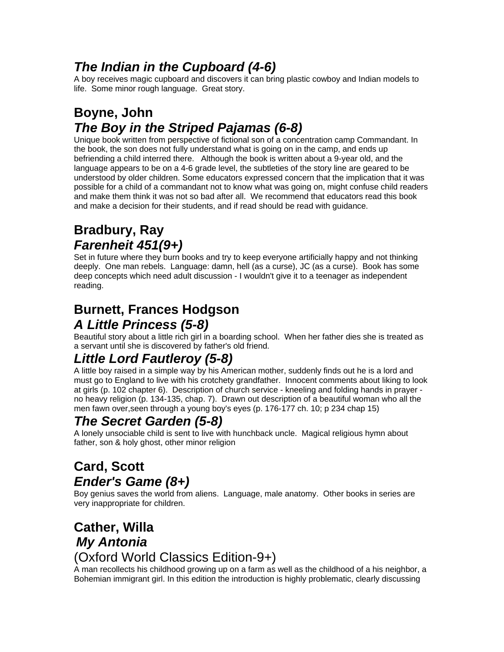# *The Indian in the Cupboard (4-6)*

A boy receives magic cupboard and discovers it can bring plastic cowboy and Indian models to life. Some minor rough language. Great story.

### **Boyne, John**  *The Boy in the Striped Pajamas (6-8)*

Unique book written from perspective of fictional son of a concentration camp Commandant. In the book, the son does not fully understand what is going on in the camp, and ends up befriending a child interred there. Although the book is written about a 9-year old, and the language appears to be on a 4-6 grade level, the subtleties of the story line are geared to be understood by older children. Some educators expressed concern that the implication that it was possible for a child of a commandant not to know what was going on, might confuse child readers and make them think it was not so bad after all. We recommend that educators read this book and make a decision for their students, and if read should be read with guidance.

#### **Bradbury, Ray** *Farenheit 451(9+)*

Set in future where they burn books and try to keep everyone artificially happy and not thinking deeply. One man rebels. Language: damn, hell (as a curse), JC (as a curse). Book has some deep concepts which need adult discussion - I wouldn't give it to a teenager as independent reading.

# **Burnett, Frances Hodgson**

# *A Little Princess (5-8)*

Beautiful story about a little rich girl in a boarding school. When her father dies she is treated as a servant until she is discovered by father's old friend.

# *Little Lord Fautleroy (5-8)*

A little boy raised in a simple way by his American mother, suddenly finds out he is a lord and must go to England to live with his crotchety grandfather. Innocent comments about liking to look at girls (p. 102 chapter 6). Description of church service - kneeling and folding hands in prayer no heavy religion (p. 134-135, chap. 7). Drawn out description of a beautiful woman who all the men fawn over,seen through a young boy's eyes (p. 176-177 ch. 10; p 234 chap 15)

# *The Secret Garden (5-8)*

A lonely unsociable child is sent to live with hunchback uncle. Magical religious hymn about father, son & holy ghost, other minor religion

# **Card, Scott** *Ender's Game (8+)*

Boy genius saves the world from aliens. Language, male anatomy. Other books in series are very inappropriate for children.

#### **Cather, Willa** *My Antonia* (Oxford World Classics Edition-9+)

A man recollects his childhood growing up on a farm as well as the childhood of a his neighbor, a Bohemian immigrant girl. In this edition the introduction is highly problematic, clearly discussing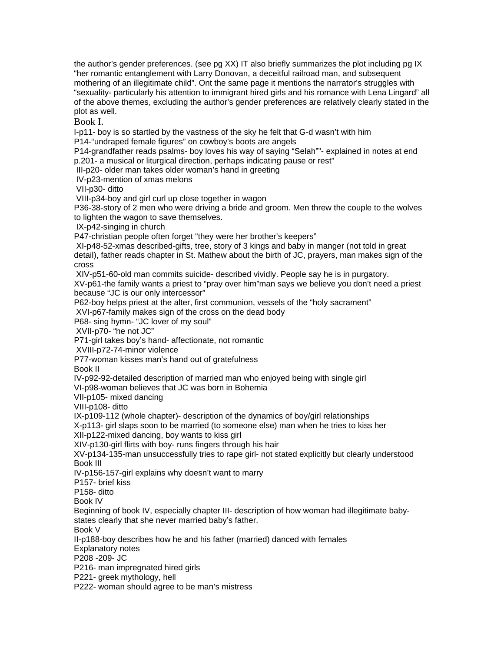the author's gender preferences. (see pg XX) IT also briefly summarizes the plot including pg IX "her romantic entanglement with Larry Donovan, a deceitful railroad man, and subsequent mothering of an illegitimate child". Ont the same page it mentions the narrator's struggles with "sexuality- particularly his attention to immigrant hired girls and his romance with Lena Lingard" all of the above themes, excluding the author's gender preferences are relatively clearly stated in the plot as well.

Book I.

I-p11- boy is so startled by the vastness of the sky he felt that G-d wasn't with him

P14-"undraped female figures" on cowboy's boots are angels

P14-grandfather reads psalms- boy loves his way of saying "Selah""- explained in notes at end p.201- a musical or liturgical direction, perhaps indicating pause or rest"

III-p20- older man takes older woman's hand in greeting

IV-p23-mention of xmas melons

VII-p30- ditto

VIII-p34-boy and girl curl up close together in wagon

P36-38-story of 2 men who were driving a bride and groom. Men threw the couple to the wolves to lighten the wagon to save themselves.

IX-p42-singing in church

P47-christian people often forget "they were her brother's keepers"

 XI-p48-52-xmas described-gifts, tree, story of 3 kings and baby in manger (not told in great detail), father reads chapter in St. Mathew about the birth of JC, prayers, man makes sign of the cross

XIV-p51-60-old man commits suicide- described vividly. People say he is in purgatory.

XV-p61-the family wants a priest to "pray over him"man says we believe you don't need a priest because "JC is our only intercessor"

P62-boy helps priest at the alter, first communion, vessels of the "holy sacrament"

XVI-p67-family makes sign of the cross on the dead body

P68- sing hymn- "JC lover of my soul"

XVII-p70- "he not JC"

P71-girl takes boy's hand- affectionate, not romantic

XVIII-p72-74-minor violence

P77-woman kisses man's hand out of gratefulness

Book II

IV-p92-92-detailed description of married man who enjoyed being with single girl

VI-p98-woman believes that JC was born in Bohemia

VII-p105- mixed dancing

VIII-p108- ditto

IX-p109-112 (whole chapter)- description of the dynamics of boy/girl relationships

X-p113- girl slaps soon to be married (to someone else) man when he tries to kiss her

XII-p122-mixed dancing, boy wants to kiss girl

XIV-p130-girl flirts with boy- runs fingers through his hair

XV-p134-135-man unsuccessfully tries to rape girl- not stated explicitly but clearly understood Book III

IV-p156-157-girl explains why doesn't want to marry

P157- brief kiss

P158- ditto

Book IV

Beginning of book IV, especially chapter III- description of how woman had illegitimate babystates clearly that she never married baby's father.

Book V

II-p188-boy describes how he and his father (married) danced with females

Explanatory notes

P208 -209- JC

P216- man impregnated hired girls

P221- greek mythology, hell

P222- woman should agree to be man's mistress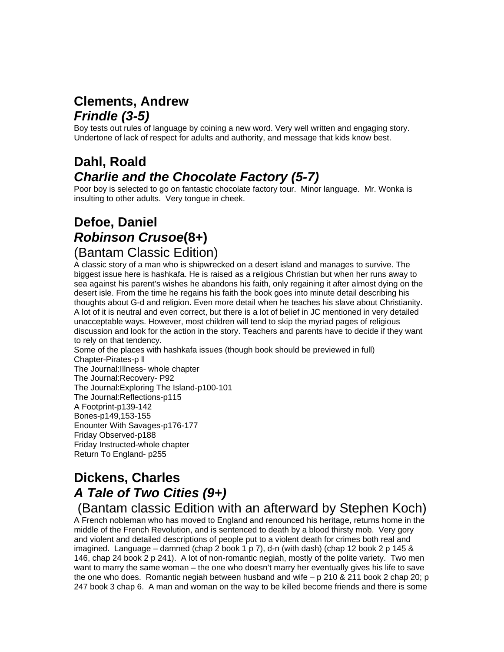# **Clements, Andrew** *Frindle (3-5)*

Boy tests out rules of language by coining a new word. Very well written and engaging story. Undertone of lack of respect for adults and authority, and message that kids know best.

# **Dahl, Roald** *Charlie and the Chocolate Factory (5-7)*

Poor boy is selected to go on fantastic chocolate factory tour. Minor language. Mr. Wonka is insulting to other adults. Very tongue in cheek.

#### **Defoe, Daniel** *Robinson Crusoe***(8+)** (Bantam Classic Edition)

A classic story of a man who is shipwrecked on a desert island and manages to survive. The biggest issue here is hashkafa. He is raised as a religious Christian but when her runs away to sea against his parent's wishes he abandons his faith, only regaining it after almost dying on the desert isle. From the time he regains his faith the book goes into minute detail describing his thoughts about G-d and religion. Even more detail when he teaches his slave about Christianity. A lot of it is neutral and even correct, but there is a lot of belief in JC mentioned in very detailed unacceptable ways. However, most children will tend to skip the myriad pages of religious discussion and look for the action in the story. Teachers and parents have to decide if they want to rely on that tendency.

Some of the places with hashkafa issues (though book should be previewed in full) Chapter-Pirates-p ll The Journal:Illness- whole chapter The Journal:Recovery- P92 The Journal:Exploring The Island-p100-101 The Journal:Reflections-p115 A Footprint-p139-142 Bones-p149,153-155 Enounter With Savages-p176-177 Friday Observed-p188 Friday Instructed-whole chapter

# **Dickens, Charles** *A Tale of Two Cities (9+)*

Return To England- p255

#### (Bantam classic Edition with an afterward by Stephen Koch)

A French nobleman who has moved to England and renounced his heritage, returns home in the middle of the French Revolution, and is sentenced to death by a blood thirsty mob. Very gory and violent and detailed descriptions of people put to a violent death for crimes both real and imagined. Language – damned (chap 2 book 1 p 7), d-n (with dash) (chap 12 book 2 p 145  $\&$ 146, chap 24 book 2 p 241). A lot of non-romantic negiah, mostly of the polite variety. Two men want to marry the same woman – the one who doesn't marry her eventually gives his life to save the one who does. Romantic negiah between husband and wife  $- p 210 \& 211$  book 2 chap 20; p 247 book 3 chap 6. A man and woman on the way to be killed become friends and there is some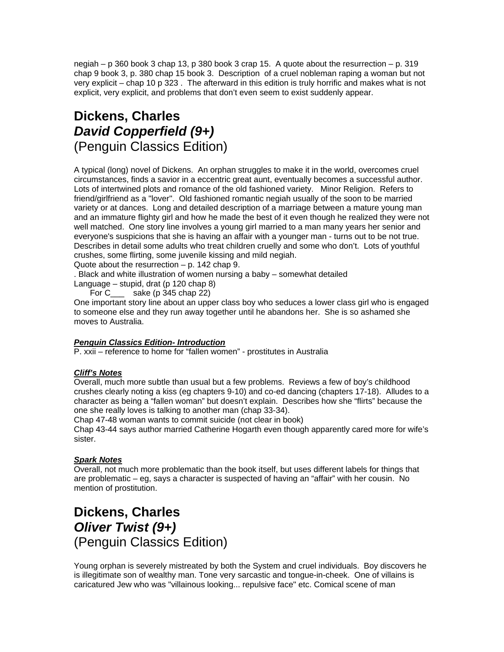negiah – p 360 book 3 chap 13, p 380 book 3 crap 15. A quote about the resurrection – p. 319 chap 9 book 3, p. 380 chap 15 book 3. Description of a cruel nobleman raping a woman but not very explicit – chap 10 p 323 . The afterward in this edition is truly horrific and makes what is not explicit, very explicit, and problems that don't even seem to exist suddenly appear.

#### **Dickens, Charles** *David Copperfield (9+)*  (Penguin Classics Edition)

A typical (long) novel of Dickens. An orphan struggles to make it in the world, overcomes cruel circumstances, finds a savior in a eccentric great aunt, eventually becomes a successful author. Lots of intertwined plots and romance of the old fashioned variety. Minor Religion. Refers to friend/girlfriend as a "lover". Old fashioned romantic negiah usually of the soon to be married variety or at dances. Long and detailed description of a marriage between a mature young man and an immature flighty girl and how he made the best of it even though he realized they were not well matched. One story line involves a young girl married to a man many years her senior and everyone's suspicions that she is having an affair with a younger man - turns out to be not true. Describes in detail some adults who treat children cruelly and some who don't. Lots of youthful crushes, some flirting, some juvenile kissing and mild negiah.

Quote about the resurrection  $-$  p. 142 chap 9.

. Black and white illustration of women nursing a baby – somewhat detailed

Language – stupid, drat (p 120 chap 8)

For C sake (p 345 chap 22)

One important story line about an upper class boy who seduces a lower class girl who is engaged to someone else and they run away together until he abandons her. She is so ashamed she moves to Australia.

#### *Penguin Classics Edition- Introduction*

P. xxii – reference to home for "fallen women" - prostitutes in Australia

#### *Cliff's Notes*

Overall, much more subtle than usual but a few problems. Reviews a few of boy's childhood crushes clearly noting a kiss (eg chapters 9-10) and co-ed dancing (chapters 17-18). Alludes to a character as being a "fallen woman" but doesn't explain. Describes how she "flirts" because the one she really loves is talking to another man (chap 33-34).

Chap 47-48 woman wants to commit suicide (not clear in book) Chap 43-44 says author married Catherine Hogarth even though apparently cared more for wife's sister.

#### *Spark Notes*

Overall, not much more problematic than the book itself, but uses different labels for things that are problematic – eg, says a character is suspected of having an "affair" with her cousin. No mention of prostitution.

#### **Dickens, Charles** *Oliver Twist (9+)*  (Penguin Classics Edition)

Young orphan is severely mistreated by both the System and cruel individuals. Boy discovers he is illegitimate son of wealthy man. Tone very sarcastic and tongue-in-cheek. One of villains is caricatured Jew who was "villainous looking... repulsive face" etc. Comical scene of man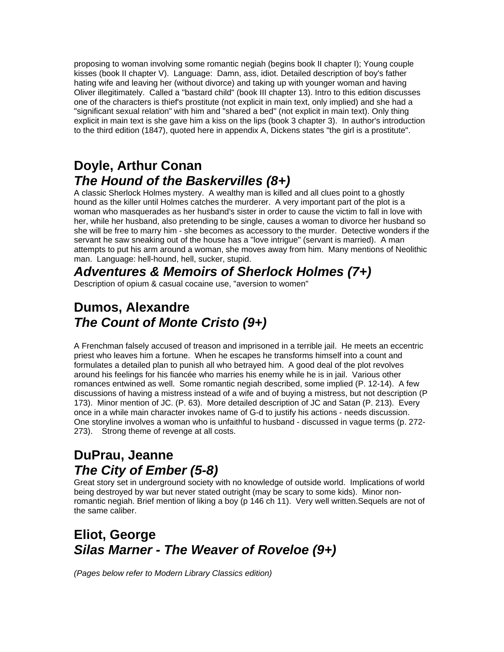proposing to woman involving some romantic negiah (begins book II chapter I); Young couple kisses (book II chapter V). Language: Damn, ass, idiot. Detailed description of boy's father hating wife and leaving her (without divorce) and taking up with younger woman and having Oliver illegitimately. Called a "bastard child" (book III chapter 13). Intro to this edition discusses one of the characters is thief's prostitute (not explicit in main text, only implied) and she had a "significant sexual relation" with him and "shared a bed" (not explicit in main text). Only thing explicit in main text is she gave him a kiss on the lips (book 3 chapter 3). In author's introduction to the third edition (1847), quoted here in appendix A, Dickens states "the girl is a prostitute".

### **Doyle, Arthur Conan** *The Hound of the Baskervilles (8+)*

A classic Sherlock Holmes mystery. A wealthy man is killed and all clues point to a ghostly hound as the killer until Holmes catches the murderer. A very important part of the plot is a woman who masquerades as her husband's sister in order to cause the victim to fall in love with her, while her husband, also pretending to be single, causes a woman to divorce her husband so she will be free to marry him - she becomes as accessory to the murder. Detective wonders if the servant he saw sneaking out of the house has a "love intrigue" (servant is married). A man attempts to put his arm around a woman, she moves away from him. Many mentions of Neolithic man. Language: hell-hound, hell, sucker, stupid.

#### *Adventures & Memoirs of Sherlock Holmes (7+)*

Description of opium & casual cocaine use, "aversion to women"

#### **Dumos, Alexandre** *The Count of Monte Cristo (9+)*

A Frenchman falsely accused of treason and imprisoned in a terrible jail. He meets an eccentric priest who leaves him a fortune. When he escapes he transforms himself into a count and formulates a detailed plan to punish all who betrayed him. A good deal of the plot revolves around his feelings for his fiancée who marries his enemy while he is in jail. Various other romances entwined as well. Some romantic negiah described, some implied (P. 12-14). A few discussions of having a mistress instead of a wife and of buying a mistress, but not description (P 173). Minor mention of JC. (P. 63). More detailed description of JC and Satan (P. 213). Every once in a while main character invokes name of G-d to justify his actions - needs discussion. One storyline involves a woman who is unfaithful to husband - discussed in vague terms (p. 272- 273). Strong theme of revenge at all costs.

# **DuPrau, Jeanne** *The City of Ember (5-8)*

Great story set in underground society with no knowledge of outside world. Implications of world being destroyed by war but never stated outright (may be scary to some kids). Minor nonromantic negiah. Brief mention of liking a boy (p 146 ch 11). Very well written.Sequels are not of the same caliber.

# **Eliot, George** *Silas Marner - The Weaver of Roveloe (9+)*

*(Pages below refer to Modern Library Classics edition)*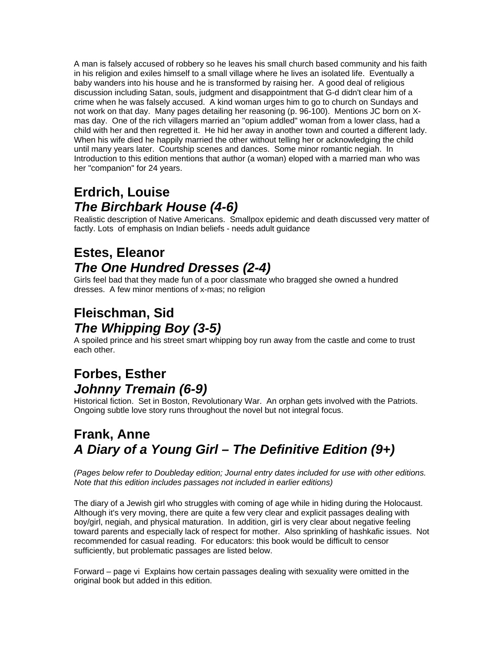A man is falsely accused of robbery so he leaves his small church based community and his faith in his religion and exiles himself to a small village where he lives an isolated life. Eventually a baby wanders into his house and he is transformed by raising her. A good deal of religious discussion including Satan, souls, judgment and disappointment that G-d didn't clear him of a crime when he was falsely accused. A kind woman urges him to go to church on Sundays and not work on that day. Many pages detailing her reasoning (p. 96-100). Mentions JC born on Xmas day. One of the rich villagers married an "opium addled" woman from a lower class, had a child with her and then regretted it. He hid her away in another town and courted a different lady. When his wife died he happily married the other without telling her or acknowledging the child until many years later. Courtship scenes and dances. Some minor romantic negiah. In Introduction to this edition mentions that author (a woman) eloped with a married man who was her "companion" for 24 years.

# **Erdrich, Louise** *The Birchbark House (4-6)*

Realistic description of Native Americans. Smallpox epidemic and death discussed very matter of factly. Lots of emphasis on Indian beliefs - needs adult guidance

# **Estes, Eleanor** *The One Hundred Dresses (2-4)*

Girls feel bad that they made fun of a poor classmate who bragged she owned a hundred dresses. A few minor mentions of x-mas; no religion

### **Fleischman, Sid** *The Whipping Boy (3-5)*

A spoiled prince and his street smart whipping boy run away from the castle and come to trust each other.

# **Forbes, Esther** *Johnny Tremain (6-9)*

Historical fiction. Set in Boston, Revolutionary War. An orphan gets involved with the Patriots. Ongoing subtle love story runs throughout the novel but not integral focus.

#### **Frank, Anne** *A Diary of a Young Girl – The Definitive Edition (9+)*

*(Pages below refer to Doubleday edition; Journal entry dates included for use with other editions. Note that this edition includes passages not included in earlier editions)*

The diary of a Jewish girl who struggles with coming of age while in hiding during the Holocaust. Although it's very moving, there are quite a few very clear and explicit passages dealing with boy/girl, negiah, and physical maturation. In addition, girl is very clear about negative feeling toward parents and especially lack of respect for mother. Also sprinkling of hashkafic issues. Not recommended for casual reading. For educators: this book would be difficult to censor sufficiently, but problematic passages are listed below.

Forward – page vi Explains how certain passages dealing with sexuality were omitted in the original book but added in this edition.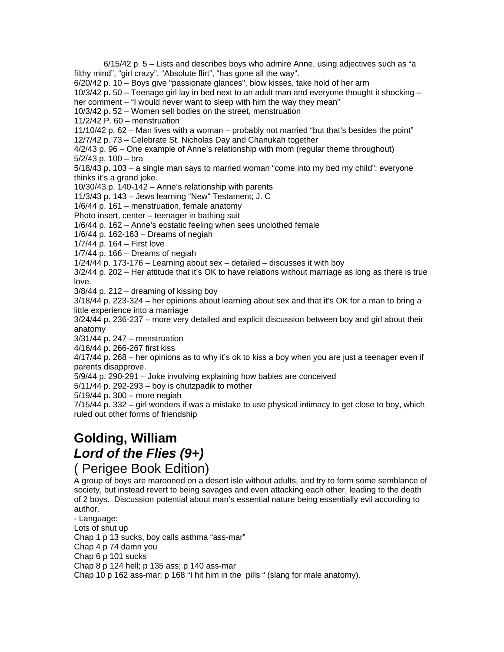6/15/42 p. 5 – Lists and describes boys who admire Anne, using adjectives such as "a filthy mind", "girl crazy", "Absolute flirt", "has gone all the way". 6/20/42 p. 10 – Boys give "passionate glances", blow kisses, take hold of her arm 10/3/42 p. 50 – Teenage girl lay in bed next to an adult man and everyone thought it shocking – her comment – "I would never want to sleep with him the way they mean" 10/3/42 p. 52 – Women sell bodies on the street, menstruation 11/2/42 P. 60 – menstruation 11/10/42 p. 62 – Man lives with a woman – probably not married "but that's besides the point" 12/7/42 p. 73 – Celebrate St. Nicholas Day and Chanukah together 4/2/43 p. 96 – One example of Anne's relationship with mom (regular theme throughout) 5/2/43 p. 100 – bra 5/18/43 p. 103 – a single man says to married woman "come into my bed my child"; everyone thinks it's a grand joke. 10/30/43 p. 140-142 – Anne's relationship with parents 11/3/43 p. 143 – Jews learning "New" Testament; J. C 1/6/44 p. 161 – menstruation, female anatomy Photo insert, center – teenager in bathing suit 1/6/44 p. 162 – Anne's ecstatic feeling when sees unclothed female 1/6/44 p. 162-163 – Dreams of negiah 1/7/44 p. 164 – First love 1/7/44 p. 166 – Dreams of negiah 1/24/44 p. 173-176 – Learning about sex – detailed – discusses it with boy 3/2/44 p. 202 – Her attitude that it's OK to have relations without marriage as long as there is true love. 3/8/44 p. 212 – dreaming of kissing boy 3/18/44 p. 223-324 – her opinions about learning about sex and that it's OK for a man to bring a little experience into a marriage 3/24/44 p. 236-237 – more very detailed and explicit discussion between boy and girl about their anatomy 3/31/44 p. 247 – menstruation 4/16/44 p. 266-267 first kiss 4/17/44 p. 268 – her opinions as to why it's ok to kiss a boy when you are just a teenager even if parents disapprove. 5/9/44 p. 290-291 – Joke involving explaining how babies are conceived 5/11/44 p. 292-293 – boy is chutzpadik to mother 5/19/44 p. 300 – more negiah 7/15/44 p. 332 – girl wonders if was a mistake to use physical intimacy to get close to boy, which ruled out other forms of friendship

#### **Golding, William** *Lord of the Flies (9+)* ( Perigee Book Edition)

A group of boys are marooned on a desert isle without adults, and try to form some semblance of society, but instead revert to being savages and even attacking each other, leading to the death of 2 boys. Discussion potential about man's essential nature being essentially evil according to author.

- Language: Lots of shut up Chap 1 p 13 sucks, boy calls asthma "ass-mar" Chap 4 p 74 damn you Chap 6 p 101 sucks Chap 8 p 124 hell; p 135 ass; p 140 ass-mar Chap 10 p 162 ass-mar; p 168 "I hit him in the pills " (slang for male anatomy).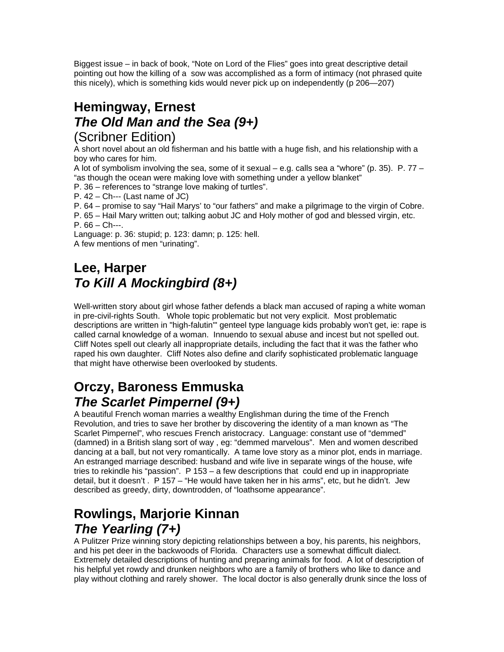Biggest issue – in back of book, "Note on Lord of the Flies" goes into great descriptive detail pointing out how the killing of a sow was accomplished as a form of intimacy (not phrased quite this nicely), which is something kids would never pick up on independently (p 206—207)

#### **Hemingway, Ernest** *The Old Man and the Sea (9+)* (Scribner Edition)

A short novel about an old fisherman and his battle with a huge fish, and his relationship with a boy who cares for him.

A lot of symbolism involving the sea, some of it sexual – e.g. calls sea a "whore" (p. 35). P.  $77 -$ "as though the ocean were making love with something under a yellow blanket"

P. 36 – references to "strange love making of turtles".

 $P. 42 - Ch$ --- (Last name of JC)

P. 64 – promise to say "Hail Marys' to "our fathers" and make a pilgrimage to the virgin of Cobre.

P. 65 – Hail Mary written out; talking aobut JC and Holy mother of god and blessed virgin, etc. P. 66 – Ch---.

Language: p. 36: stupid; p. 123: damn; p. 125: hell. A few mentions of men "urinating".

# **Lee, Harper** *To Kill A Mockingbird (8+)*

Well-written story about girl whose father defends a black man accused of raping a white woman in pre-civil-rights South. Whole topic problematic but not very explicit. Most problematic descriptions are written in "high-falutin'" genteel type language kids probably won't get, ie: rape is called carnal knowledge of a woman. Innuendo to sexual abuse and incest but not spelled out. Cliff Notes spell out clearly all inappropriate details, including the fact that it was the father who raped his own daughter. Cliff Notes also define and clarify sophisticated problematic language that might have otherwise been overlooked by students.

#### **Orczy, Baroness Emmuska** *The Scarlet Pimpernel (9+)*

A beautiful French woman marries a wealthy Englishman during the time of the French Revolution, and tries to save her brother by discovering the identity of a man known as "The Scarlet Pimpernel", who rescues French aristocracy. Language: constant use of "demmed" (damned) in a British slang sort of way , eg: "demmed marvelous". Men and women described dancing at a ball, but not very romantically. A tame love story as a minor plot, ends in marriage. An estranged marriage described: husband and wife live in separate wings of the house, wife tries to rekindle his "passion". P 153 – a few descriptions that could end up in inappropriate detail, but it doesn't . P 157 – "He would have taken her in his arms", etc, but he didn't. Jew described as greedy, dirty, downtrodden, of "loathsome appearance".

# **Rowlings, Marjorie Kinnan** *The Yearling (7+)*

A Pulitzer Prize winning story depicting relationships between a boy, his parents, his neighbors, and his pet deer in the backwoods of Florida. Characters use a somewhat difficult dialect. Extremely detailed descriptions of hunting and preparing animals for food. A lot of description of his helpful yet rowdy and drunken neighbors who are a family of brothers who like to dance and play without clothing and rarely shower. The local doctor is also generally drunk since the loss of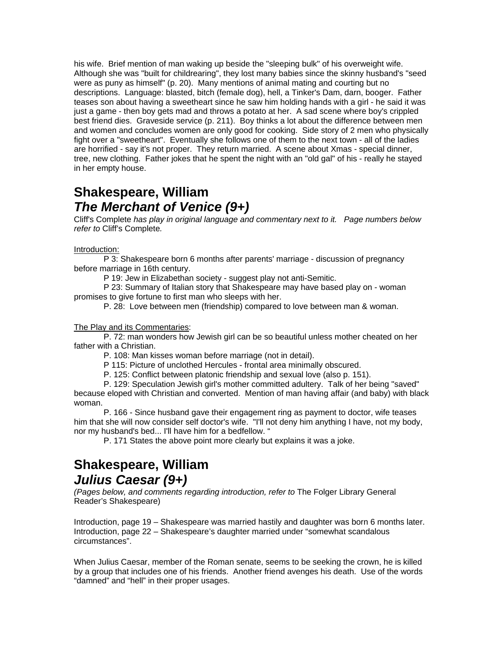his wife. Brief mention of man waking up beside the "sleeping bulk" of his overweight wife. Although she was "built for childrearing", they lost many babies since the skinny husband's "seed were as puny as himself" (p. 20). Many mentions of animal mating and courting but no descriptions. Language: blasted, bitch (female dog), hell, a Tinker's Dam, darn, booger. Father teases son about having a sweetheart since he saw him holding hands with a girl - he said it was just a game - then boy gets mad and throws a potato at her. A sad scene where boy's crippled best friend dies. Graveside service (p. 211). Boy thinks a lot about the difference between men and women and concludes women are only good for cooking. Side story of 2 men who physically fight over a "sweetheart". Eventually she follows one of them to the next town - all of the ladies are horrified - say it's not proper. They return married. A scene about Xmas - special dinner, tree, new clothing. Father jokes that he spent the night with an "old gal" of his - really he stayed in her empty house.

#### **Shakespeare, William** *The Merchant of Venice (9+)*

Cliff's Complete *has play in original language and commentary next to it. Page numbers below refer to* Cliff's Complete*.*

#### Introduction:

P 3: Shakespeare born 6 months after parents' marriage - discussion of pregnancy before marriage in 16th century.

P 19: Jew in Elizabethan society - suggest play not anti-Semitic.

P 23: Summary of Italian story that Shakespeare may have based play on - woman promises to give fortune to first man who sleeps with her.

P. 28: Love between men (friendship) compared to love between man & woman.

#### The Play and its Commentaries:

P. 72: man wonders how Jewish girl can be so beautiful unless mother cheated on her father with a Christian.

P. 108: Man kisses woman before marriage (not in detail).

P 115: Picture of unclothed Hercules - frontal area minimally obscured.

P. 125: Conflict between platonic friendship and sexual love (also p. 151).

P. 129: Speculation Jewish girl's mother committed adultery. Talk of her being "saved" because eloped with Christian and converted. Mention of man having affair (and baby) with black

woman. P. 166 - Since husband gave their engagement ring as payment to doctor, wife teases him that she will now consider self doctor's wife. "I'll not deny him anything I have, not my body,

nor my husband's bed... I'll have him for a bedfellow. "

P. 171 States the above point more clearly but explains it was a joke.

#### **Shakespeare, William** *Julius Caesar (9+)*

*(Pages below, and comments regarding introduction, refer to* The Folger Library General Reader's Shakespeare)

Introduction, page 19 – Shakespeare was married hastily and daughter was born 6 months later. Introduction, page 22 – Shakespeare's daughter married under "somewhat scandalous circumstances".

When Julius Caesar, member of the Roman senate, seems to be seeking the crown, he is killed by a group that includes one of his friends. Another friend avenges his death. Use of the words "damned" and "hell" in their proper usages.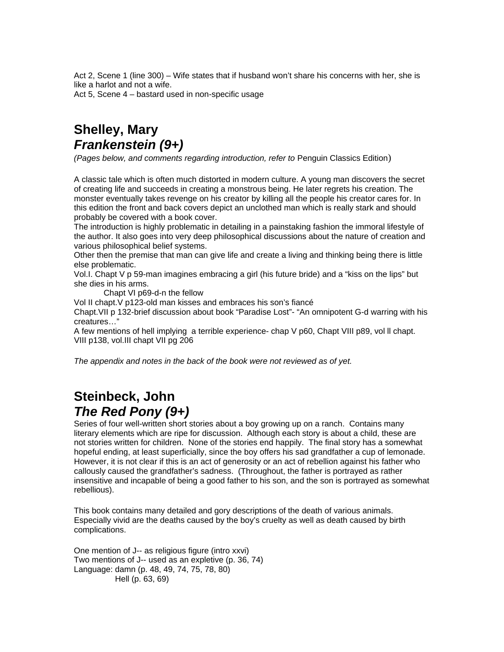Act 2, Scene 1 (line 300) – Wife states that if husband won't share his concerns with her, she is like a harlot and not a wife. Act 5, Scene 4 – bastard used in non-specific usage

**Shelley, Mary** *Frankenstein (9+)*

*(Pages below, and comments regarding introduction, refer to* Penguin Classics Edition)

A classic tale which is often much distorted in modern culture. A young man discovers the secret of creating life and succeeds in creating a monstrous being. He later regrets his creation. The monster eventually takes revenge on his creator by killing all the people his creator cares for. In this edition the front and back covers depict an unclothed man which is really stark and should probably be covered with a book cover.

The introduction is highly problematic in detailing in a painstaking fashion the immoral lifestyle of the author. It also goes into very deep philosophical discussions about the nature of creation and various philosophical belief systems.

Other then the premise that man can give life and create a living and thinking being there is little else problematic.

Vol.I. Chapt V p 59-man imagines embracing a girl (his future bride) and a "kiss on the lips" but she dies in his arms.

Chapt VI p69-d-n the fellow

Vol II chapt.V p123-old man kisses and embraces his son's fiancé

Chapt.VII p 132-brief discussion about book "Paradise Lost"- "An omnipotent G-d warring with his creatures…"

A few mentions of hell implying a terrible experience- chap V p60, Chapt VIII p89, vol ll chapt. VIII p138, vol.III chapt VII pg 206

*The appendix and notes in the back of the book were not reviewed as of yet.*

#### **Steinbeck, John** *The Red Pony (9+)*

Series of four well-written short stories about a boy growing up on a ranch. Contains many literary elements which are ripe for discussion. Although each story is about a child, these are not stories written for children. None of the stories end happily. The final story has a somewhat hopeful ending, at least superficially, since the boy offers his sad grandfather a cup of lemonade. However, it is not clear if this is an act of generosity or an act of rebellion against his father who callously caused the grandfather's sadness. (Throughout, the father is portrayed as rather insensitive and incapable of being a good father to his son, and the son is portrayed as somewhat rebellious).

This book contains many detailed and gory descriptions of the death of various animals. Especially vivid are the deaths caused by the boy's cruelty as well as death caused by birth complications.

One mention of J-- as religious figure (intro xxvi) Two mentions of J-- used as an expletive (p. 36, 74) Language: damn (p. 48, 49, 74, 75, 78, 80) Hell (p. 63, 69)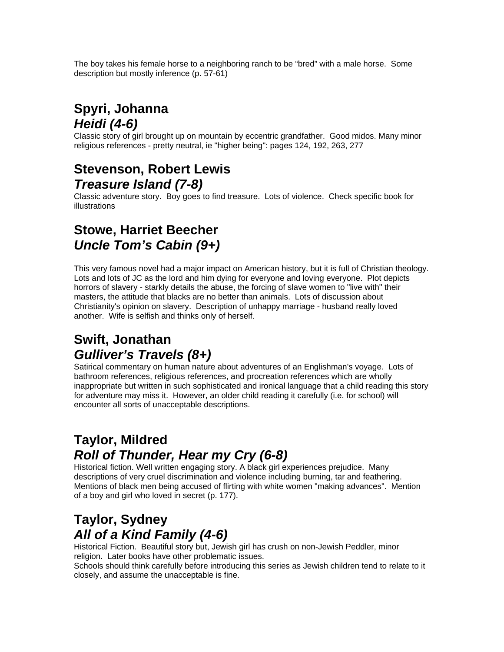The boy takes his female horse to a neighboring ranch to be "bred" with a male horse. Some description but mostly inference (p. 57-61)

### **Spyri, Johanna** *Heidi (4-6)*

Classic story of girl brought up on mountain by eccentric grandfather. Good midos. Many minor religious references - pretty neutral, ie "higher being": pages 124, 192, 263, 277

#### **Stevenson, Robert Lewis** *Treasure Island (7-8)*

Classic adventure story. Boy goes to find treasure. Lots of violence. Check specific book for illustrations

#### **Stowe, Harriet Beecher** *Uncle Tom's Cabin (9+)*

This very famous novel had a major impact on American history, but it is full of Christian theology. Lots and lots of JC as the lord and him dying for everyone and loving everyone. Plot depicts horrors of slavery - starkly details the abuse, the forcing of slave women to "live with" their masters, the attitude that blacks are no better than animals. Lots of discussion about Christianity's opinion on slavery. Description of unhappy marriage - husband really loved another. Wife is selfish and thinks only of herself.

#### **Swift, Jonathan** *Gulliver's Travels (8+)*

Satirical commentary on human nature about adventures of an Englishman's voyage. Lots of bathroom references, religious references, and procreation references which are wholly inappropriate but written in such sophisticated and ironical language that a child reading this story for adventure may miss it. However, an older child reading it carefully (i.e. for school) will encounter all sorts of unacceptable descriptions.

#### **Taylor, Mildred** *Roll of Thunder, Hear my Cry (6-8)*

Historical fiction. Well written engaging story. A black girl experiences prejudice. Many descriptions of very cruel discrimination and violence including burning, tar and feathering. Mentions of black men being accused of flirting with white women "making advances". Mention of a boy and girl who loved in secret (p. 177).

# **Taylor, Sydney**  *All of a Kind Family (4-6)*

Historical Fiction. Beautiful story but, Jewish girl has crush on non-Jewish Peddler, minor religion. Later books have other problematic issues.

Schools should think carefully before introducing this series as Jewish children tend to relate to it closely, and assume the unacceptable is fine.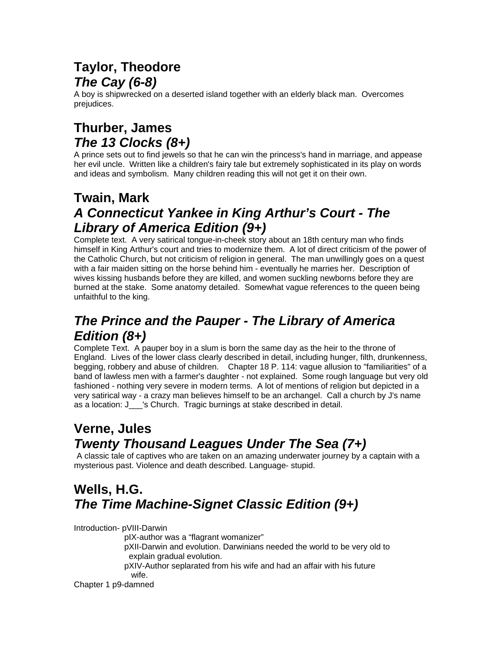# **Taylor, Theodore** *The Cay (6-8)*

A boy is shipwrecked on a deserted island together with an elderly black man. Overcomes prejudices.

### **Thurber, James** *The 13 Clocks (8+)*

A prince sets out to find jewels so that he can win the princess's hand in marriage, and appease her evil uncle. Written like a children's fairy tale but extremely sophisticated in its play on words and ideas and symbolism. Many children reading this will not get it on their own.

### **Twain, Mark** *A Connecticut Yankee in King Arthur's Court - The Library of America Edition (9+)*

Complete text. A very satirical tongue-in-cheek story about an 18th century man who finds himself in King Arthur's court and tries to modernize them. A lot of direct criticism of the power of the Catholic Church, but not criticism of religion in general. The man unwillingly goes on a quest with a fair maiden sitting on the horse behind him - eventually he marries her. Description of wives kissing husbands before they are killed, and women suckling newborns before they are burned at the stake. Some anatomy detailed. Somewhat vague references to the queen being unfaithful to the king.

#### *The Prince and the Pauper - The Library of America Edition (8+)*

Complete Text. A pauper boy in a slum is born the same day as the heir to the throne of England. Lives of the lower class clearly described in detail, including hunger, filth, drunkenness, begging, robbery and abuse of children. Chapter 18 P. 114: vague allusion to "familiarities" of a band of lawless men with a farmer's daughter - not explained. Some rough language but very old fashioned - nothing very severe in modern terms. A lot of mentions of religion but depicted in a very satirical way - a crazy man believes himself to be an archangel. Call a church by J's name as a location: J\_\_\_'s Church. Tragic burnings at stake described in detail.

# **Verne, Jules** *Twenty Thousand Leagues Under The Sea (7+)*

A classic tale of captives who are taken on an amazing underwater journey by a captain with a mysterious past. Violence and death described. Language- stupid.

#### **Wells, H.G.** *The Time Machine-Signet Classic Edition (9+)*

Introduction- pVIII-Darwin

pIX-author was a "flagrant womanizer"

 pXII-Darwin and evolution. Darwinians needed the world to be very old to explain gradual evolution.

 pXIV-Author seplarated from his wife and had an affair with his future wife.

Chapter 1 p9-damned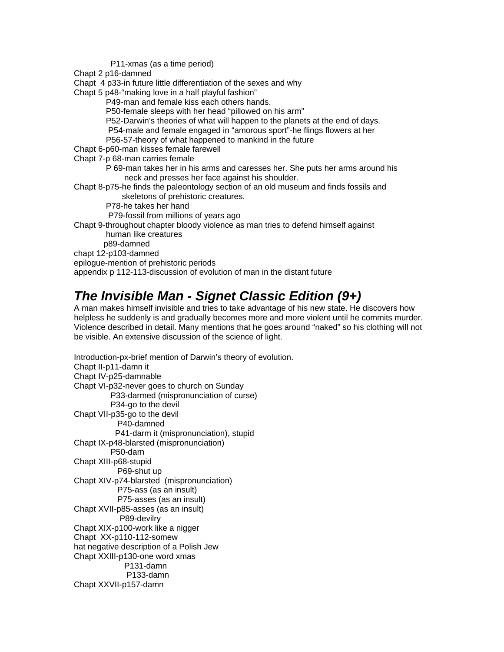P11-xmas (as a time period)

Chapt 2 p16-damned

Chapt 4 p33-in future little differentiation of the sexes and why

Chapt 5 p48-"making love in a half playful fashion"

P49-man and female kiss each others hands.

P50-female sleeps with her head "pillowed on his arm"

P52-Darwin's theories of what will happen to the planets at the end of days.

P54-male and female engaged in "amorous sport"-he flings flowers at her

P56-57-theory of what happened to mankind in the future

Chapt 6-p60-man kisses female farewell

Chapt 7-p 68-man carries female

 P 69-man takes her in his arms and caresses her. She puts her arms around his neck and presses her face against his shoulder.

Chapt 8-p75-he finds the paleontology section of an old museum and finds fossils and skeletons of prehistoric creatures.

P78-he takes her hand

P79-fossil from millions of years ago

Chapt 9-throughout chapter bloody violence as man tries to defend himself against human like creatures

p89-damned

chapt 12-p103-damned

epilogue-mention of prehistoric periods

appendix p 112-113-discussion of evolution of man in the distant future

# *The Invisible Man - Signet Classic Edition (9+)*

A man makes himself invisible and tries to take advantage of his new state. He discovers how helpless he suddenly is and gradually becomes more and more violent until he commits murder. Violence described in detail. Many mentions that he goes around "naked" so his clothing will not be visible. An extensive discussion of the science of light.

Introduction-px-brief mention of Darwin's theory of evolution. Chapt II-p11-damn it Chapt IV-p25-damnable Chapt VI-p32-never goes to church on Sunday P33-darmed (mispronunciation of curse) P34-go to the devil Chapt VII-p35-go to the devil P40-damned P41-darm it (mispronunciation), stupid Chapt IX-p48-blarsted (mispronunciation) P50-darn Chapt XIII-p68-stupid P69-shut up Chapt XIV-p74-blarsted (mispronunciation) P75-ass (as an insult) P75-asses (as an insult) Chapt XVII-p85-asses (as an insult) P89-devilry Chapt XIX-p100-work like a nigger Chapt XX-p110-112-somew hat negative description of a Polish Jew Chapt XXIII-p130-one word xmas P131-damn P133-damn Chapt XXVII-p157-damn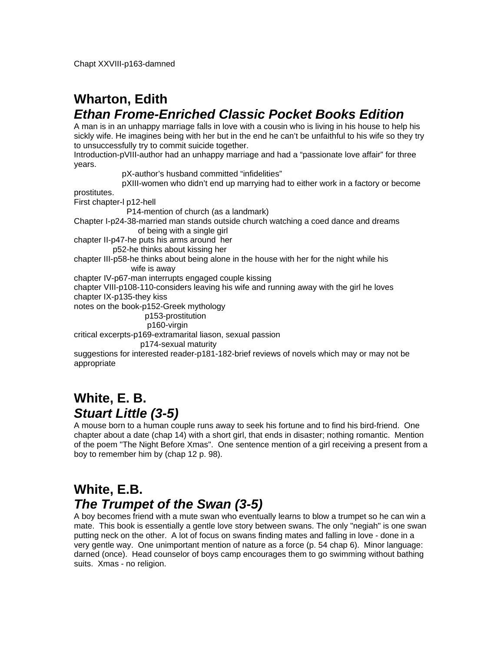# **Wharton, Edith** *Ethan Frome-Enriched Classic Pocket Books Edition*

A man is in an unhappy marriage falls in love with a cousin who is living in his house to help his sickly wife. He imagines being with her but in the end he can't be unfaithful to his wife so they try to unsuccessfully try to commit suicide together.

Introduction-pVIII-author had an unhappy marriage and had a "passionate love affair" for three years.

pX-author's husband committed "infidelities"

pXIII-women who didn't end up marrying had to either work in a factory or become

prostitutes.

First chapter-l p12-hell

P14-mention of church (as a landmark)

Chapter I-p24-38-married man stands outside church watching a coed dance and dreams of being with a single girl

chapter II-p47-he puts his arms around her

p52-he thinks about kissing her

chapter III-p58-he thinks about being alone in the house with her for the night while his wife is away

chapter IV-p67-man interrupts engaged couple kissing

chapter VIII-p108-110-considers leaving his wife and running away with the girl he loves chapter IX-p135-they kiss

notes on the book-p152-Greek mythology

p153-prostitution

p160-virgin

critical excerpts-p169-extramarital liason, sexual passion

p174-sexual maturity

suggestions for interested reader-p181-182-brief reviews of novels which may or may not be appropriate

#### **White, E. B.** *Stuart Little (3-5)*

A mouse born to a human couple runs away to seek his fortune and to find his bird-friend. One chapter about a date (chap 14) with a short girl, that ends in disaster; nothing romantic. Mention of the poem "The Night Before Xmas". One sentence mention of a girl receiving a present from a boy to remember him by (chap 12 p. 98).

#### **White, E.B.** *The Trumpet of the Swan (3-5)*

A boy becomes friend with a mute swan who eventually learns to blow a trumpet so he can win a mate. This book is essentially a gentle love story between swans. The only "negiah" is one swan putting neck on the other. A lot of focus on swans finding mates and falling in love - done in a very gentle way. One unimportant mention of nature as a force (p. 54 chap 6). Minor language: darned (once). Head counselor of boys camp encourages them to go swimming without bathing suits. Xmas - no religion.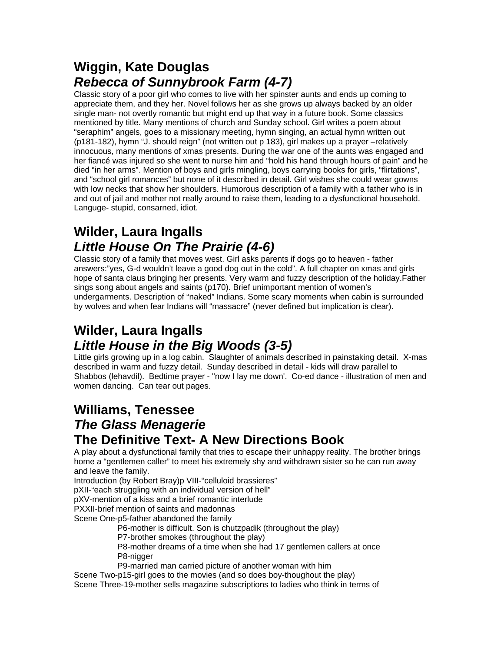### **Wiggin, Kate Douglas** *Rebecca of Sunnybrook Farm (4-7)*

Classic story of a poor girl who comes to live with her spinster aunts and ends up coming to appreciate them, and they her. Novel follows her as she grows up always backed by an older single man- not overtly romantic but might end up that way in a future book. Some classics mentioned by title. Many mentions of church and Sunday school. Girl writes a poem about "seraphim" angels, goes to a missionary meeting, hymn singing, an actual hymn written out (p181-182), hymn "J. should reign" (not written out p 183), girl makes up a prayer –relatively innocuous, many mentions of xmas presents. During the war one of the aunts was engaged and her fiancé was injured so she went to nurse him and "hold his hand through hours of pain" and he died "in her arms". Mention of boys and girls mingling, boys carrying books for girls, "flirtations", and "school girl romances" but none of it described in detail. Girl wishes she could wear gowns with low necks that show her shoulders. Humorous description of a family with a father who is in and out of jail and mother not really around to raise them, leading to a dysfunctional household. Languge- stupid, consarned, idiot.

#### **Wilder, Laura Ingalls** *Little House On The Prairie (4-6)*

Classic story of a family that moves west. Girl asks parents if dogs go to heaven - father answers:"yes, G-d wouldn't leave a good dog out in the cold". A full chapter on xmas and girls hope of santa claus bringing her presents. Very warm and fuzzy description of the holiday.Father sings song about angels and saints (p170). Brief unimportant mention of women's undergarments. Description of "naked" Indians. Some scary moments when cabin is surrounded by wolves and when fear Indians will "massacre" (never defined but implication is clear).

#### **Wilder, Laura Ingalls** *Little House in the Big Woods (3-5)*

Little girls growing up in a log cabin. Slaughter of animals described in painstaking detail. X-mas described in warm and fuzzy detail. Sunday described in detail - kids will draw parallel to Shabbos (lehavdil). Bedtime prayer - "now I lay me down'. Co-ed dance - illustration of men and women dancing. Can tear out pages.

#### **Williams, Tenessee** *The Glass Menagerie* **The Definitive Text- A New Directions Book**

A play about a dysfunctional family that tries to escape their unhappy reality. The brother brings home a "gentlemen caller" to meet his extremely shy and withdrawn sister so he can run away and leave the family.

Introduction (by Robert Bray)p VIII-"celluloid brassieres"

pXII-"each struggling with an individual version of hell"

pXV-mention of a kiss and a brief romantic interlude

PXXII-brief mention of saints and madonnas

Scene One-p5-father abandoned the family

P6-mother is difficult. Son is chutzpadik (throughout the play)

P7-brother smokes (throughout the play)

 P8-mother dreams of a time when she had 17 gentlemen callers at once P8-nigger

P9-married man carried picture of another woman with him

Scene Two-p15-girl goes to the movies (and so does boy-thoughout the play) Scene Three-19-mother sells magazine subscriptions to ladies who think in terms of